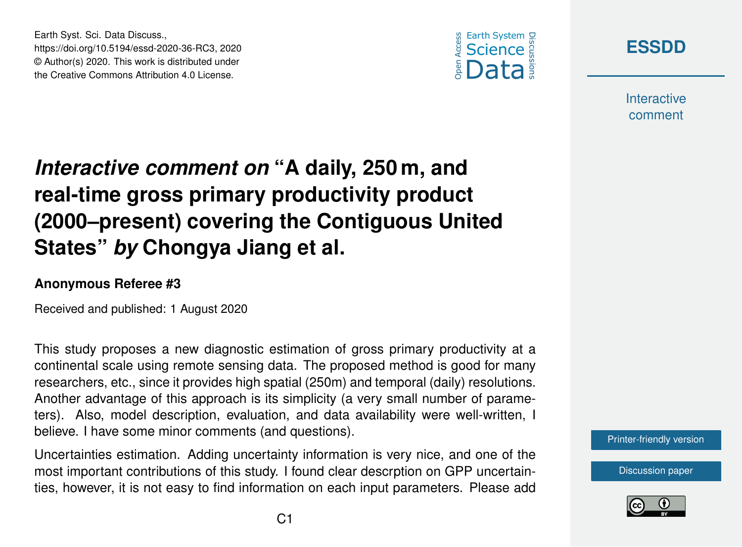

Discussions

**Interactive** comment

## *Interactive comment on* **"A daily, 250 m, and real-time gross primary productivity product (2000–present) covering the Contiguous United States"** *by* **Chongya Jiang et al.**

## **Anonymous Referee #3**

Earth Syst. Sci. Data Discuss.,

https://doi.org/10.5194/essd-2020-36-RC3, 2020 © Author(s) 2020. This work is distributed under the Creative Commons Attribution 4.0 License.

Received and published: 1 August 2020

This study proposes a new diagnostic estimation of gross primary productivity at a continental scale using remote sensing data. The proposed method is good for many researchers, etc., since it provides high spatial (250m) and temporal (daily) resolutions. Another advantage of this approach is its simplicity (a very small number of parameters). Also, model description, evaluation, and data availability were well-written, I believe. I have some minor comments (and questions).

Uncertainties estimation. Adding uncertainty information is very nice, and one of the most important contributions of this study. I found clear descrption on GPP uncertainties, however, it is not easy to find information on each input parameters. Please add [Printer-friendly version](https://essd.copernicus.org/preprints/essd-2020-36/essd-2020-36-RC3-print.pdf)

[Discussion paper](https://essd.copernicus.org/preprints/essd-2020-36)